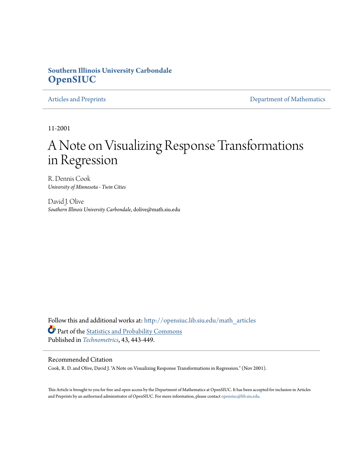## **Southern Illinois University Carbondale [OpenSIUC](http://opensiuc.lib.siu.edu?utm_source=opensiuc.lib.siu.edu%2Fmath_articles%2F6&utm_medium=PDF&utm_campaign=PDFCoverPages)**

[Articles and Preprints](http://opensiuc.lib.siu.edu/math_articles?utm_source=opensiuc.lib.siu.edu%2Fmath_articles%2F6&utm_medium=PDF&utm_campaign=PDFCoverPages) **[Department of Mathematics](http://opensiuc.lib.siu.edu/math?utm_source=opensiuc.lib.siu.edu%2Fmath_articles%2F6&utm_medium=PDF&utm_campaign=PDFCoverPages)** 

11-2001

## A Note on Visualizing Response Transformations in Regression

R. Dennis Cook *University of Minnesota - Twin Cities*

David J. Olive *Southern Illinois University Carbondale*, dolive@math.siu.edu

Follow this and additional works at: [http://opensiuc.lib.siu.edu/math\\_articles](http://opensiuc.lib.siu.edu/math_articles?utm_source=opensiuc.lib.siu.edu%2Fmath_articles%2F6&utm_medium=PDF&utm_campaign=PDFCoverPages) Part of the [Statistics and Probability Commons](http://network.bepress.com/hgg/discipline/208?utm_source=opensiuc.lib.siu.edu%2Fmath_articles%2F6&utm_medium=PDF&utm_campaign=PDFCoverPages) Published in *[Technometrics](http://www.amstat.org/publications/index.cfm?fuseaction=main)*, 43, 443-449.

#### Recommended Citation

Cook, R. D. and Olive, David J. "A Note on Visualizing Response Transformations in Regression." (Nov 2001).

This Article is brought to you for free and open access by the Department of Mathematics at OpenSIUC. It has been accepted for inclusion in Articles and Preprints by an authorized administrator of OpenSIUC. For more information, please contact [opensiuc@lib.siu.edu](mailto:opensiuc@lib.siu.edu).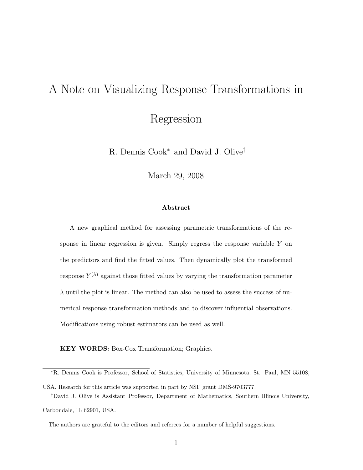# A Note on Visualizing Response Transformations in Regression

R. Dennis Cook<sup>∗</sup> and David J. Olive†

March 29, 2008

#### **Abstract**

A new graphical method for assessing parametric transformations of the response in linear regression is given. Simply regress the response variable Y on the predictors and find the fitted values. Then dynamically plot the transformed response  $Y^{(\lambda)}$  against those fitted values by varying the transformation parameter  $\lambda$  until the plot is linear. The method can also be used to assess the success of numerical response transformation methods and to discover influential observations. Modifications using robust estimators can be used as well.

**KEY WORDS:** Box-Cox Transformation; Graphics.

<sup>∗</sup>R. Dennis Cook is Professor, School of Statistics, University of Minnesota, St. Paul, MN 55108,

USA. Research for this article was supported in part by NSF grant DMS-9703777.

<sup>†</sup>David J. Olive is Assistant Professor, Department of Mathematics, Southern Illinois University, Carbondale, IL 62901, USA.

The authors are grateful to the editors and referees for a number of helpful suggestions.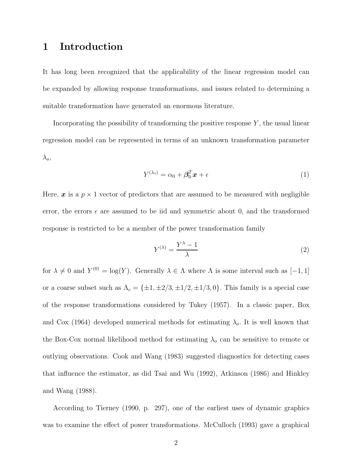## **1 Introduction**

It has long been recognized that the applicability of the linear regression model can be expanded by allowing response transformations, and issues related to determining a suitable transformation have generated an enormous literature.

Incorporating the possibility of transforming the positive response  $Y$ , the usual linear regression model can be represented in terms of an unknown transformation parameter  $\lambda_o$ 

$$
Y^{(\lambda_o)} = \alpha_0 + \beta_0^T \mathbf{x} + \epsilon \tag{1}
$$

Here,  $\boldsymbol{x}$  is a  $p \times 1$  vector of predictors that are assumed to be measured with negligible error, the errors  $\epsilon$  are assumed to be iid and symmetric about 0, and the transformed response is restricted to be a member of the power transformation family

$$
Y^{(\lambda)} = \frac{Y^{\lambda} - 1}{\lambda} \tag{2}
$$

for  $\lambda \neq 0$  and  $Y^{(0)} = \log(Y)$ . Generally  $\lambda \in \Lambda$  where  $\Lambda$  is some interval such as  $[-1, 1]$ or a coarse subset such as  $\Lambda_c = {\pm 1, \pm 2/3, \pm 1/2, \pm 1/3, 0}.$  This family is a special case of the response transformations considered by Tukey (1957). In a classic paper, Box and Cox (1964) developed numerical methods for estimating  $\lambda_o$ . It is well known that the Box-Cox normal likelihood method for estimating  $\lambda_o$  can be sensitive to remote or outlying observations. Cook and Wang (1983) suggested diagnostics for detecting cases that influence the estimator, as did Tsai and Wu (1992), Atkinson (1986) and Hinkley and Wang (1988).

According to Tierney (1990, p. 297), one of the earliest uses of dynamic graphics was to examine the effect of power transformations. McCulloch (1993) gave a graphical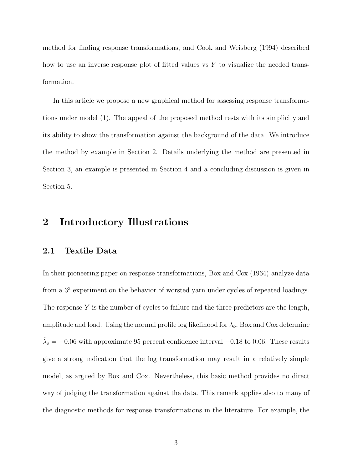method for finding response transformations, and Cook and Weisberg (1994) described how to use an inverse response plot of fitted values vs  $Y$  to visualize the needed transformation.

In this article we propose a new graphical method for assessing response transformations under model (1). The appeal of the proposed method rests with its simplicity and its ability to show the transformation against the background of the data. We introduce the method by example in Section 2. Details underlying the method are presented in Section 3, an example is presented in Section 4 and a concluding discussion is given in Section 5.

## **2 Introductory Illustrations**

#### **2.1 Textile Data**

In their pioneering paper on response transformations, Box and Cox (1964) analyze data from a 3<sup>3</sup> experiment on the behavior of worsted yarn under cycles of repeated loadings. The response  $Y$  is the number of cycles to failure and the three predictors are the length, amplitude and load. Using the normal profile log likelihood for  $\lambda_o$ , Box and Cox determine  $\lambda_o = -0.06$  with approximate 95 percent confidence interval  $-0.18$  to 0.06. These results give a strong indication that the log transformation may result in a relatively simple model, as argued by Box and Cox. Nevertheless, this basic method provides no direct way of judging the transformation against the data. This remark applies also to many of the diagnostic methods for response transformations in the literature. For example, the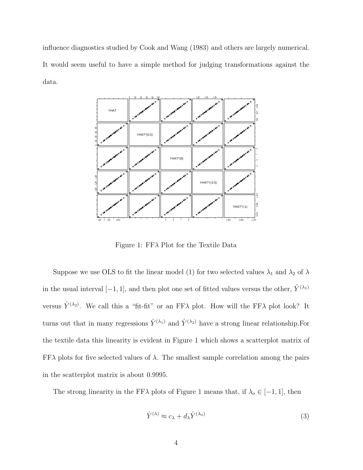influence diagnostics studied by Cook and Wang (1983) and others are largely numerical. It would seem useful to have a simple method for judging transformations against the data.



Figure 1: FFλ Plot for the Textile Data

Suppose we use OLS to fit the linear model (1) for two selected values  $\lambda_1$  and  $\lambda_2$  of  $\lambda$ in the usual interval [−1, 1], and then plot one set of fitted values versus the other,  $\hat{Y}^{(\lambda_1)}$ versus  $\hat{Y}^{(\lambda_2)}$ . We call this a "fit-fit" or an FF $\lambda$  plot. How will the FF $\lambda$  plot look? It turns out that in many regressions  $\hat{Y}^{(\lambda_1)}$  and  $\hat{Y}^{(\lambda_2)}$  have a strong linear relationship. For the textile data this linearity is evident in Figure 1 which shows a scatterplot matrix of  $FF\lambda$  plots for five selected values of  $\lambda$ . The smallest sample correlation among the pairs in the scatterplot matrix is about 0.9995.

The strong linearity in the FF $\lambda$  plots of Figure 1 means that, if  $\lambda_o \in [-1, 1]$ , then

$$
\hat{Y}^{(\lambda)} \approx c_{\lambda} + d_{\lambda} \hat{Y}^{(\lambda_o)} \tag{3}
$$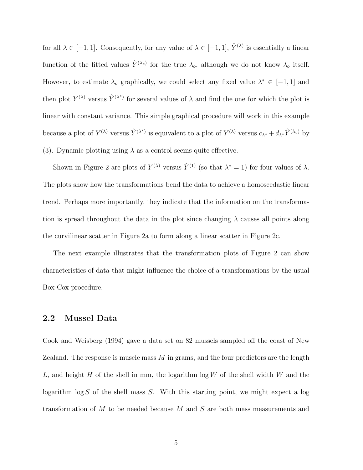for all  $\lambda \in [-1, 1]$ . Consequently, for any value of  $\lambda \in [-1, 1]$ ,  $\hat{Y}^{(\lambda)}$  is essentially a linear function of the fitted values  $\hat{Y}^{(\lambda_o)}$  for the true  $\lambda_o$ , although we do not know  $\lambda_o$  itself. However, to estimate  $\lambda_o$  graphically, we could select any fixed value  $\lambda^* \in [-1,1]$  and then plot  $Y^{(\lambda)}$  versus  $\hat{Y}^{(\lambda^*)}$  for several values of  $\lambda$  and find the one for which the plot is linear with constant variance. This simple graphical procedure will work in this example because a plot of  $Y^{(\lambda)}$  versus  $\hat{Y}^{(\lambda^*)}$  is equivalent to a plot of  $Y^{(\lambda)}$  versus  $c_{\lambda^*} + d_{\lambda^*} \hat{Y}^{(\lambda_o)}$  by (3). Dynamic plotting using  $\lambda$  as a control seems quite effective.

Shown in Figure 2 are plots of  $Y^{(\lambda)}$  versus  $\hat{Y}^{(1)}$  (so that  $\lambda^* = 1$ ) for four values of  $\lambda$ . The plots show how the transformations bend the data to achieve a homoscedastic linear trend. Perhaps more importantly, they indicate that the information on the transformation is spread throughout the data in the plot since changing  $\lambda$  causes all points along the curvilinear scatter in Figure 2a to form along a linear scatter in Figure 2c.

The next example illustrates that the transformation plots of Figure 2 can show characteristics of data that might influence the choice of a transformations by the usual Box-Cox procedure.

#### **2.2 Mussel Data**

Cook and Weisberg (1994) gave a data set on 82 mussels sampled off the coast of New Zealand. The response is muscle mass  $M$  in grams, and the four predictors are the length L, and height H of the shell in mm, the logarithm  $\log W$  of the shell width W and the logarithm  $\log S$  of the shell mass S. With this starting point, we might expect a log transformation of M to be needed because M and S are both mass measurements and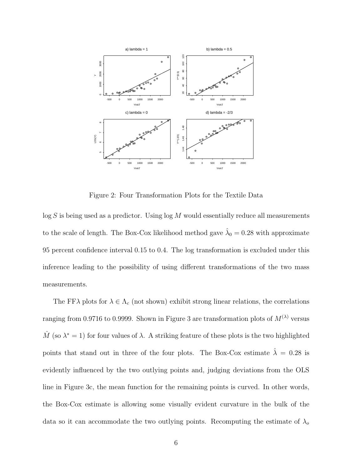

Figure 2: Four Transformation Plots for the Textile Data

 $\log S$  is being used as a predictor. Using  $\log M$  would essentially reduce all measurements to the scale of length. The Box-Cox likelihood method gave  $\hat{\lambda}_0 = 0.28$  with approximate 95 percent confidence interval 0.15 to 0.4. The log transformation is excluded under this inference leading to the possibility of using different transformations of the two mass measurements.

The FF $\lambda$  plots for  $\lambda \in \Lambda_c$  (not shown) exhibit strong linear relations, the correlations ranging from 0.9716 to 0.9999. Shown in Figure 3 are transformation plots of  $M^{(\lambda)}$  versus  $\hat{M}$  (so  $\lambda^* = 1$ ) for four values of  $\lambda$ . A striking feature of these plots is the two highlighted points that stand out in three of the four plots. The Box-Cox estimate  $\hat{\lambda} = 0.28$  is evidently influenced by the two outlying points and, judging deviations from the OLS line in Figure 3c, the mean function for the remaining points is curved. In other words, the Box-Cox estimate is allowing some visually evident curvature in the bulk of the data so it can accommodate the two outlying points. Recomputing the estimate of  $\lambda_o$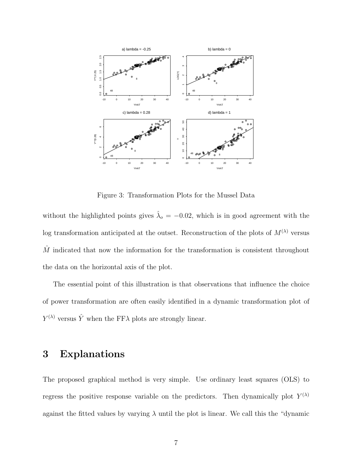

Figure 3: Transformation Plots for the Mussel Data

without the highlighted points gives  $\hat{\lambda}_{o} = -0.02$ , which is in good agreement with the log transformation anticipated at the outset. Reconstruction of the plots of  $M^{(\lambda)}$  versus  $\hat{M}$  indicated that now the information for the transformation is consistent throughout the data on the horizontal axis of the plot.

The essential point of this illustration is that observations that influence the choice of power transformation are often easily identified in a dynamic transformation plot of  $Y^{(\lambda)}$  versus  $\hat{Y}$  when the FF $\lambda$  plots are strongly linear.

## **3 Explanations**

The proposed graphical method is very simple. Use ordinary least squares (OLS) to regress the positive response variable on the predictors. Then dynamically plot  $Y^{(\lambda)}$ against the fitted values by varying  $\lambda$  until the plot is linear. We call this the "dynamic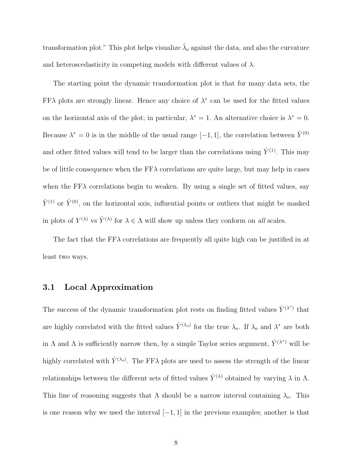transformation plot." This plot helps visualize  $\hat{\lambda}_o$  against the data, and also the curvature and heteroscedasticity in competing models with different values of  $\lambda$ .

The starting point the dynamic transformation plot is that for many data sets, the FF $\lambda$  plots are strongly linear. Hence any choice of  $\lambda^*$  can be used for the fitted values on the horizontal axis of the plot; in particular,  $\lambda^* = 1$ . An alternative choice is  $\lambda^* = 0$ . Because  $\lambda^* = 0$  is in the middle of the usual range  $[-1, 1]$ , the correlation between  $\hat{Y}^{(0)}$ and other fitted values will tend to be larger than the correlations using  $\hat{Y}^{(1)}$ . This may be of little consequence when the  $FF\lambda$  correlations are quite large, but may help in cases when the  $FF\lambda$  correlations begin to weaken. By using a single set of fitted values, say  $\hat{Y}^{(1)}$  or  $\hat{Y}^{(0)}$ , on the horizontal axis, influential points or outliers that might be masked in plots of  $Y^{(\lambda)}$  vs  $\hat{Y}^{(\lambda)}$  for  $\lambda \in \Lambda$  will show up unless they conform on *all* scales.

The fact that the  $FF\lambda$  correlations are frequently all quite high can be justified in at least two ways.

#### **3.1 Local Approximation**

The success of the dynamic transformation plot rests on finding fitted values  $\hat{Y}^{(\lambda^*)}$  that are highly correlated with the fitted values  $\hat{Y}^{(\lambda_o)}$  for the true  $\lambda_o$ . If  $\lambda_o$  and  $\lambda^*$  are both in  $\Lambda$  and  $\Lambda$  is sufficiently narrow then, by a simple Taylor series argument,  $\hat{Y}^{(\lambda^*)}$  will be highly correlated with  $\hat{Y}^{(\lambda_o)}$ . The FF $\lambda$  plots are used to assess the strength of the linear relationships between the different sets of fitted values  $\hat{Y}^{(\lambda)}$  obtained by varying  $\lambda$  in  $\Lambda$ . This line of reasoning suggests that  $\Lambda$  should be a narrow interval containing  $\lambda_o$ . This is one reason why we used the interval  $[-1, 1]$  in the previous examples; another is that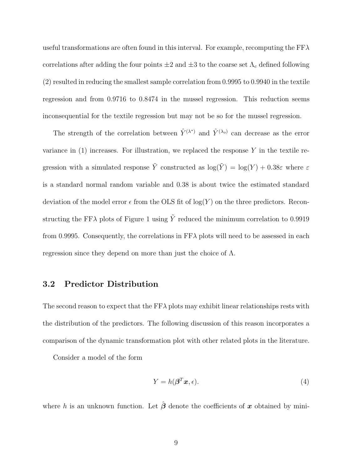useful transformations are often found in this interval. For example, recomputing the  $FF\lambda$ correlations after adding the four points  $\pm 2$  and  $\pm 3$  to the coarse set  $\Lambda_c$  defined following (2) resulted in reducing the smallest sample correlation from 0.9995 to 0.9940 in the textile regression and from 0.9716 to 0.8474 in the mussel regression. This reduction seems inconsequential for the textile regression but may not be so for the mussel regression.

The strength of the correlation between  $\hat{Y}^{(\lambda^*)}$  and  $\hat{Y}^{(\lambda_o)}$  can decrease as the error variance in  $(1)$  increases. For illustration, we replaced the response Y in the textile regression with a simulated response  $\tilde{Y}$  constructed as  $\log(\tilde{Y}) = \log(Y) + 0.38\varepsilon$  where  $\varepsilon$ is a standard normal random variable and 0.38 is about twice the estimated standard deviation of the model error  $\epsilon$  from the OLS fit of log(Y) on the three predictors. Reconstructing the FF $\lambda$  plots of Figure 1 using  $\tilde{Y}$  reduced the minimum correlation to 0.9919 from 0.9995. Consequently, the correlations in  $FF\lambda$  plots will need to be assessed in each regression since they depend on more than just the choice of Λ.

#### **3.2 Predictor Distribution**

The second reason to expect that the  $FF\lambda$  plots may exhibit linear relationships rests with the distribution of the predictors. The following discussion of this reason incorporates a comparison of the dynamic transformation plot with other related plots in the literature.

Consider a model of the form

$$
Y = h(\boldsymbol{\beta}^T \boldsymbol{x}, \epsilon). \tag{4}
$$

where h is an unknown function. Let  $\hat{\boldsymbol{\beta}}$  denote the coefficients of x obtained by mini-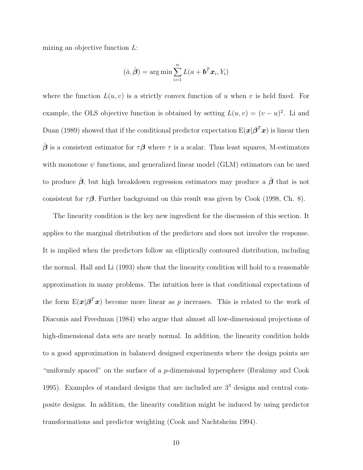mizing an objective function L:

$$
(\hat{a}, \hat{\boldsymbol{\beta}}) = \arg\min \sum_{i=1}^{n} L(a + \boldsymbol{b}^T \boldsymbol{x}_i, Y_i)
$$

where the function  $L(u, v)$  is a strictly convex function of u when v is held fixed. For example, the OLS objective function is obtained by setting  $L(u, v)=(v - u)^2$ . Li and Duan (1989) showed that if the conditional predictor expectation  $E(\boldsymbol{x}|\boldsymbol{\beta}^T\boldsymbol{x})$  is linear then  $\hat{\beta}$  is a consistent estimator for  $\tau\beta$  where  $\tau$  is a scalar. Thus least squares, M-estimators with monotone  $\psi$  functions, and generalized linear model (GLM) estimators can be used to produce *β*ˆ, but high breakdown regression estimators may produce a *β*ˆ that is not consistent for  $\tau\beta$ . Further background on this result was given by Cook (1998, Ch. 8).

The linearity condition is the key new ingredient for the discussion of this section. It applies to the marginal distribution of the predictors and does not involve the response. It is implied when the predictors follow an elliptically contoured distribution, including the normal. Hall and Li (1993) show that the linearity condition will hold to a reasonable approximation in many problems. The intuition here is that conditional expectations of the form  $E(\boldsymbol{x}|\boldsymbol{\beta}^T\boldsymbol{x})$  become more linear as p increases. This is related to the work of Diaconis and Freedman (1984) who argue that almost all low-dimensional projections of high-dimensional data sets are nearly normal. In addition, the linearity condition holds to a good approximation in balanced designed experiments where the design points are "uniformly spaced" on the surface of a p-dimensional hypersphere (Ibrahimy and Cook 1995). Examples of standard designs that are included are 3<sup>3</sup> designs and central composite designs. In addition, the linearity condition might be induced by using predictor transformations and predictor weighting (Cook and Nachtsheim 1994).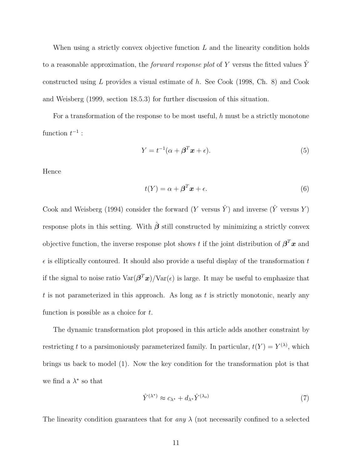When using a strictly convex objective function  $L$  and the linearity condition holds to a reasonable approximation, the *forward response plot* of Y versus the fitted values  $\hat{Y}$ constructed using L provides a visual estimate of h. See Cook (1998, Ch. 8) and Cook and Weisberg (1999, section 18.5.3) for further discussion of this situation.

For a transformation of the response to be most useful, h must be a strictly monotone function  $t^{-1}$  :

$$
Y = t^{-1}(\alpha + \beta^T \mathbf{x} + \epsilon). \tag{5}
$$

Hence

$$
t(Y) = \alpha + \beta^T \mathbf{x} + \epsilon.
$$
 (6)

Cook and Weisberg (1994) consider the forward (Y versus  $\hat{Y}$ ) and inverse ( $\hat{Y}$  versus Y) response plots in this setting. With  $\hat{\beta}$  still constructed by minimizing a strictly convex objective function, the inverse response plot shows t if the joint distribution of  $\beta^T x$  and  $\epsilon$  is elliptically contoured. It should also provide a useful display of the transformation t if the signal to noise ratio  $\text{Var}(\beta^T x) / \text{Var}(\epsilon)$  is large. It may be useful to emphasize that t is not parameterized in this approach. As long as t is strictly monotonic, nearly any function is possible as a choice for  $t$ .

The dynamic transformation plot proposed in this article adds another constraint by restricting t to a parsimoniously parameterized family. In particular,  $t(Y) = Y^{(\lambda)}$ , which brings us back to model (1). Now the key condition for the transformation plot is that we find a  $\lambda^*$  so that

$$
\hat{Y}^{(\lambda^*)} \approx c_{\lambda^*} + d_{\lambda^*} \hat{Y}^{(\lambda_o)} \tag{7}
$$

The linearity condition guarantees that for *any*  $\lambda$  (not necessarily confined to a selected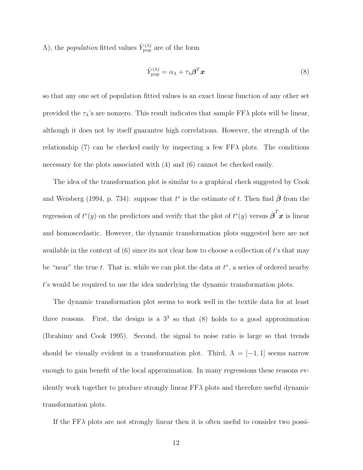$\Lambda$ ), the *population* fitted values  $\hat{Y}_{\text{pop}}^{(\lambda)}$  are of the form

$$
\hat{Y}_{\text{pop}}^{(\lambda)} = \alpha_{\lambda} + \tau_{\lambda} \boldsymbol{\beta}^{T} \boldsymbol{x}
$$
\n(8)

so that any one set of population fitted values is an exact linear function of any other set provided the  $\tau_{\lambda}$ 's are nonzero. This result indicates that sample FF $\lambda$  plots will be linear, although it does not by itself guarantee high correlations. However, the strength of the relationship (7) can be checked easily by inspecting a few  $FF\lambda$  plots. The conditions necessary for the plots associated with  $(4)$  and  $(6)$  cannot be checked easily.

The idea of the transformation plot is similar to a graphical check suggested by Cook and Weisberg (1994, p. 734): suppose that  $t^*$  is the estimate of t. Then find  $\hat{\boldsymbol{\beta}}$  from the regression of  $t^*(y)$  on the predictors and verify that the plot of  $t^*(y)$  versus  $\hat{\boldsymbol{\beta}}^T \boldsymbol{x}$  is linear and homoscedastic. However, the dynamic transformation plots suggested here are not available in the context of  $(6)$  since its not clear how to choose a collection of t's that may be "near" the true t. That is, while we can plot the data at  $t^*$ , a series of ordered nearby t's would be required to use the idea underlying the dynamic transformation plots.

The dynamic transformation plot seems to work well in the textile data for at least three reasons. First, the design is a  $3<sup>3</sup>$  so that (8) holds to a good approximation (Ibrahimy and Cook 1995). Second, the signal to noise ratio is large so that trends should be visually evident in a transformation plot. Third,  $\Lambda = [-1,1]$  seems narrow enough to gain benefit of the local approximation. In many regressions these reasons evidently work together to produce strongly linear  $FF\lambda$  plots and therefore useful dynamic transformation plots.

If the FFλ plots are not strongly linear then it is often useful to consider two possi-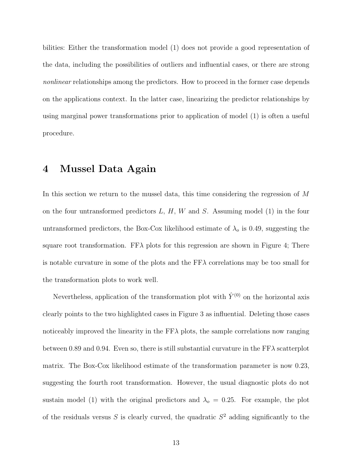bilities: Either the transformation model (1) does not provide a good representation of the data, including the possibilities of outliers and influential cases, or there are strong *nonlinear* relationships among the predictors. How to proceed in the former case depends on the applications context. In the latter case, linearizing the predictor relationships by using marginal power transformations prior to application of model (1) is often a useful procedure.

## **4 Mussel Data Again**

In this section we return to the mussel data, this time considering the regression of M on the four untransformed predictors  $L, H, W$  and  $S$ . Assuming model (1) in the four untransformed predictors, the Box-Cox likelihood estimate of  $\lambda_0$  is 0.49, suggesting the square root transformation. FF $\lambda$  plots for this regression are shown in Figure 4; There is notable curvature in some of the plots and the  $FF\lambda$  correlations may be too small for the transformation plots to work well.

Nevertheless, application of the transformation plot with  $\hat{Y}^{(0)}$  on the horizontal axis clearly points to the two highlighted cases in Figure 3 as influential. Deleting those cases noticeably improved the linearity in the  $FF\lambda$  plots, the sample correlations now ranging between 0.89 and 0.94. Even so, there is still substantial curvature in the  $FF\lambda$  scatterplot matrix. The Box-Cox likelihood estimate of the transformation parameter is now 0.23, suggesting the fourth root transformation. However, the usual diagnostic plots do not sustain model (1) with the original predictors and  $\lambda_o = 0.25$ . For example, the plot of the residuals versus S is clearly curved, the quadratic  $S<sup>2</sup>$  adding significantly to the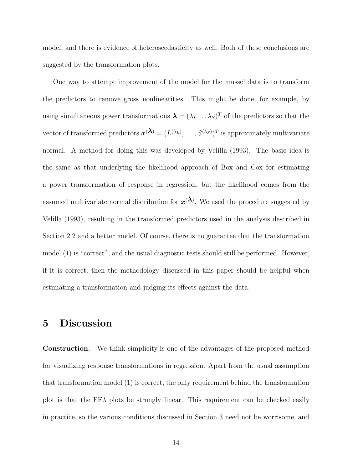model, and there is evidence of heteroscedasticity as well. Both of these conclusions are suggested by the transformation plots.

One way to attempt improvement of the model for the mussel data is to transform the predictors to remove gross nonlinearities. This might be done, for example, by using simultaneous power transformations  $\lambda = (\lambda_L \dots \lambda_S)^T$  of the predictors so that the vector of transformed predictors  $\mathbf{x}^{(\lambda)} = (L^{(\lambda_L)}, \ldots, S^{(\lambda_S)})^T$  is approximately multivariate normal. A method for doing this was developed by Velilla (1993). The basic idea is the same as that underlying the likelihood approach of Box and Cox for estimating a power transformation of response in regression, but the likelihood comes from the assumed multivariate normal distribution for  $x^{(\lambda)}$ . We used the procedure suggested by Velilla (1993), resulting in the transformed predictors used in the analysis described in Section 2.2 and a better model. Of course, there is no guarantee that the transformation model (1) is "correct", and the usual diagnostic tests should still be performed. However, if it is correct, then the methodology discussed in this paper should be helpful when estimating a transformation and judging its effects against the data.

## **5 Discussion**

**Construction.** We think simplicity is one of the advantages of the proposed method for visualizing response transformations in regression. Apart from the usual assumption that transformation model (1) is correct, the only requirement behind the transformation plot is that the  $FF\lambda$  plots be strongly linear. This requirement can be checked easily in practice, so the various conditions discussed in Section 3 need not be worrisome, and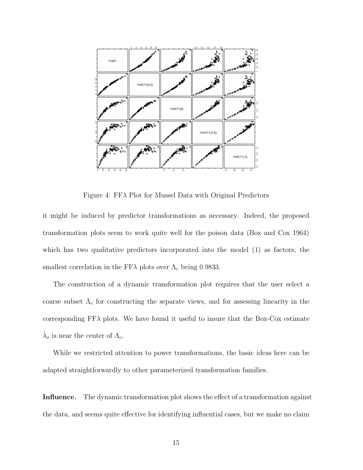

Figure 4: FFλ Plot for Mussel Data with Original Predictors

it might be induced by predictor transformations as necessary. Indeed, the proposed transformation plots seem to work quite well for the poison data (Box and Cox 1964) which has two qualitative predictors incorporated into the model (1) as factors, the smallest correlation in the FF $\lambda$  plots over  $\Lambda_c$  being 0.9833.

The construction of a dynamic transformation plot requires that the user select a coarse subset  $\Lambda_c$  for constructing the separate views, and for assessing linearity in the corresponding  $FF\lambda$  plots. We have found it useful to insure that the Box-Cox estimate  $\hat{\lambda}_o$  is near the center of  $\Lambda_c$ .

While we restricted attention to power transformations, the basic ideas here can be adapted straightforwardly to other parameterized transformation families.

**Influence.** The dynamic transformation plot shows the effect of a transformation against the data, and seems quite effective for identifying influential cases, but we make no claim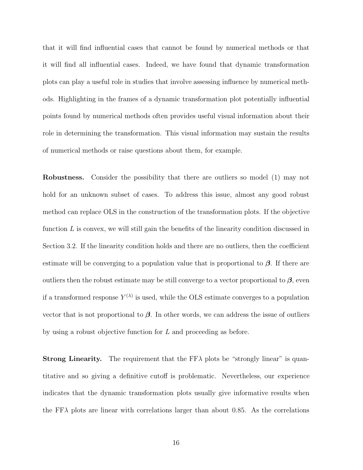that it will find influential cases that cannot be found by numerical methods or that it will find all influential cases. Indeed, we have found that dynamic transformation plots can play a useful role in studies that involve assessing influence by numerical methods. Highlighting in the frames of a dynamic transformation plot potentially influential points found by numerical methods often provides useful visual information about their role in determining the transformation. This visual information may sustain the results of numerical methods or raise questions about them, for example.

**Robustness.** Consider the possibility that there are outliers so model (1) may not hold for an unknown subset of cases. To address this issue, almost any good robust method can replace OLS in the construction of the transformation plots. If the objective function  $L$  is convex, we will still gain the benefits of the linearity condition discussed in Section 3.2. If the linearity condition holds and there are no outliers, then the coefficient estimate will be converging to a population value that is proportional to *β*. If there are outliers then the robust estimate may be still converge to a vector proportional to  $\beta$ , even if a transformed response  $Y^{(\lambda)}$  is used, while the OLS estimate converges to a population vector that is not proportional to  $\beta$ . In other words, we can address the issue of outliers by using a robust objective function for L and proceeding as before.

**Strong Linearity.** The requirement that the  $FF\lambda$  plots be "strongly linear" is quantitative and so giving a definitive cutoff is problematic. Nevertheless, our experience indicates that the dynamic transformation plots usually give informative results when the FF $\lambda$  plots are linear with correlations larger than about 0.85. As the correlations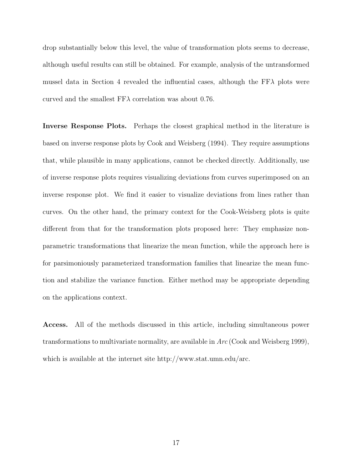drop substantially below this level, the value of transformation plots seems to decrease, although useful results can still be obtained. For example, analysis of the untransformed mussel data in Section 4 revealed the influential cases, although the  $FF\lambda$  plots were curved and the smallest  $FF\lambda$  correlation was about 0.76.

**Inverse Response Plots.** Perhaps the closest graphical method in the literature is based on inverse response plots by Cook and Weisberg (1994). They require assumptions that, while plausible in many applications, cannot be checked directly. Additionally, use of inverse response plots requires visualizing deviations from curves superimposed on an inverse response plot. We find it easier to visualize deviations from lines rather than curves. On the other hand, the primary context for the Cook-Weisberg plots is quite different from that for the transformation plots proposed here: They emphasize nonparametric transformations that linearize the mean function, while the approach here is for parsimoniously parameterized transformation families that linearize the mean function and stabilize the variance function. Either method may be appropriate depending on the applications context.

**Access.** All of the methods discussed in this article, including simultaneous power transformations to multivariate normality, are available in *Arc* (Cook and Weisberg 1999), which is available at the internet site http://www.stat.umn.edu/arc.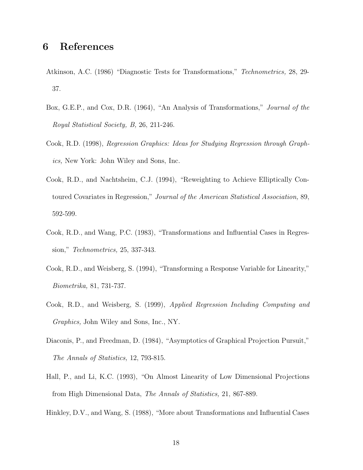## **6 References**

- Atkinson, A.C. (1986) "Diagnostic Tests for Transformations," *Technometrics,* 28, 29- 37.
- Box, G.E.P., and Cox, D.R. (1964), "An Analysis of Transformations," *Journal of the Royal Statistical Society, B,* 26, 211-246.
- Cook, R.D. (1998), *Regression Graphics: Ideas for Studying Regression through Graphics,* New York: John Wiley and Sons, Inc.
- Cook, R.D., and Nachtsheim, C.J. (1994), "Reweighting to Achieve Elliptically Contoured Covariates in Regression," *Journal of the American Statistical Association,* 89, 592-599.
- Cook, R.D., and Wang, P.C. (1983), "Transformations and Influential Cases in Regression," *Technometrics,* 25, 337-343.
- Cook, R.D., and Weisberg, S. (1994), "Transforming a Response Variable for Linearity," *Biometrika,* 81, 731-737.
- Cook, R.D., and Weisberg, S. (1999), *Applied Regression Including Computing and Graphics,* John Wiley and Sons, Inc., NY.
- Diaconis, P., and Freedman, D. (1984), "Asymptotics of Graphical Projection Pursuit," *The Annals of Statistics,* 12, 793-815.
- Hall, P., and Li, K.C. (1993), "On Almost Linearity of Low Dimensional Projections from High Dimensional Data, *The Annals of Statistics,* 21, 867-889.
- Hinkley, D.V., and Wang, S. (1988), "More about Transformations and Influential Cases